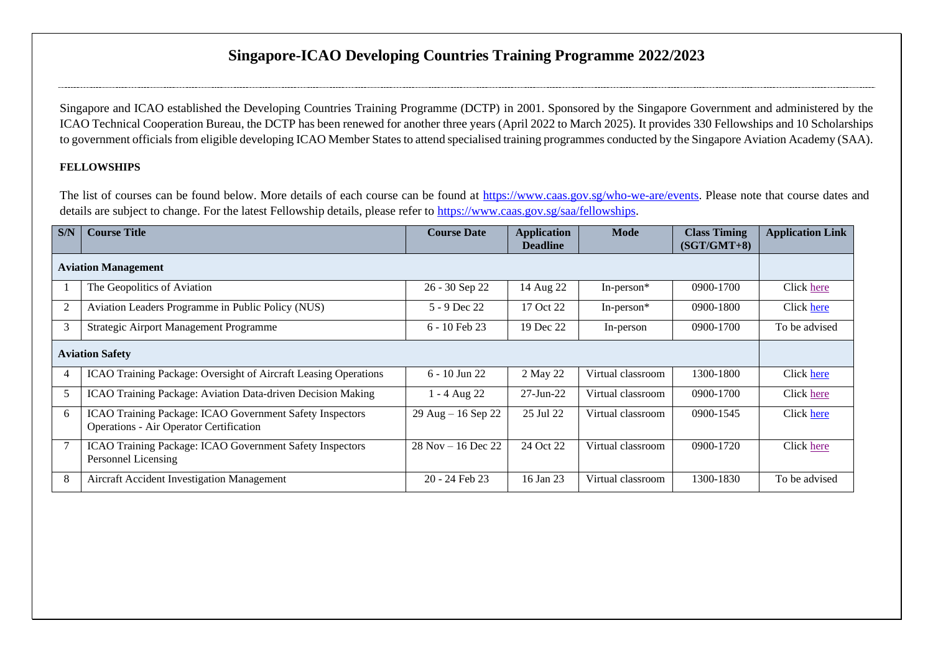# **Singapore-ICAO Developing Countries Training Programme 2022/2023**

Singapore and ICAO established the Developing Countries Training Programme (DCTP) in 2001. Sponsored by the Singapore Government and administered by the ICAO Technical Cooperation Bureau, the DCTP has been renewed for another three years (April 2022 to March 2025). It provides 330 Fellowships and 10 Scholarships to government officials from eligible developing ICAO Member States to attend specialised training programmes conducted by the Singapore Aviation Academy (SAA).

#### **FELLOWSHIPS**

The list of courses can be found below. More details of each course can be found at [https://www.caas.gov.sg/who-we-are/events.](https://www.caas.gov.sg/who-we-are/events) Please note that course dates and details are subject to change. For the latest Fellowship details, please refer to [https://www.caas.gov.sg/saa/fellowships.](https://www.caas.gov.sg/saa/fellowships)

| S/N                        | <b>Course Title</b>                                                                                 | <b>Course Date</b>     | <b>Application</b><br><b>Deadline</b> | <b>Mode</b>       | <b>Class Timing</b><br>$(SGT/GMT+8)$ | <b>Application Link</b> |
|----------------------------|-----------------------------------------------------------------------------------------------------|------------------------|---------------------------------------|-------------------|--------------------------------------|-------------------------|
| <b>Aviation Management</b> |                                                                                                     |                        |                                       |                   |                                      |                         |
|                            | The Geopolitics of Aviation                                                                         | 26 - 30 Sep 22         | 14 Aug 22                             | In-person $*$     | 0900-1700                            | Click here              |
| $\overline{2}$             | Aviation Leaders Programme in Public Policy (NUS)                                                   | 5 - 9 Dec 22           | 17 Oct 22                             | In-person $*$     | 0900-1800                            | Click here              |
| 3                          | Strategic Airport Management Programme                                                              | $6 - 10$ Feb 23        | 19 Dec 22                             | In-person         | 0900-1700                            | To be advised           |
| <b>Aviation Safety</b>     |                                                                                                     |                        |                                       |                   |                                      |                         |
| $\overline{4}$             | ICAO Training Package: Oversight of Aircraft Leasing Operations                                     | $6 - 10$ Jun 22        | 2 May 22                              | Virtual classroom | 1300-1800                            | Click here              |
| 5                          | ICAO Training Package: Aviation Data-driven Decision Making                                         | 1 - 4 Aug 22           | $27 - Jun-22$                         | Virtual classroom | 0900-1700                            | Click here              |
| 6                          | ICAO Training Package: ICAO Government Safety Inspectors<br>Operations - Air Operator Certification | $29$ Aug $- 16$ Sep 22 | 25 Jul 22                             | Virtual classroom | 0900-1545                            | Click here              |
|                            | ICAO Training Package: ICAO Government Safety Inspectors<br>Personnel Licensing                     | $28$ Nov $-16$ Dec 22  | 24 Oct 22                             | Virtual classroom | 0900-1720                            | Click here              |
| 8                          | Aircraft Accident Investigation Management                                                          | 20 - 24 Feb 23         | 16 Jan 23                             | Virtual classroom | 1300-1830                            | To be advised           |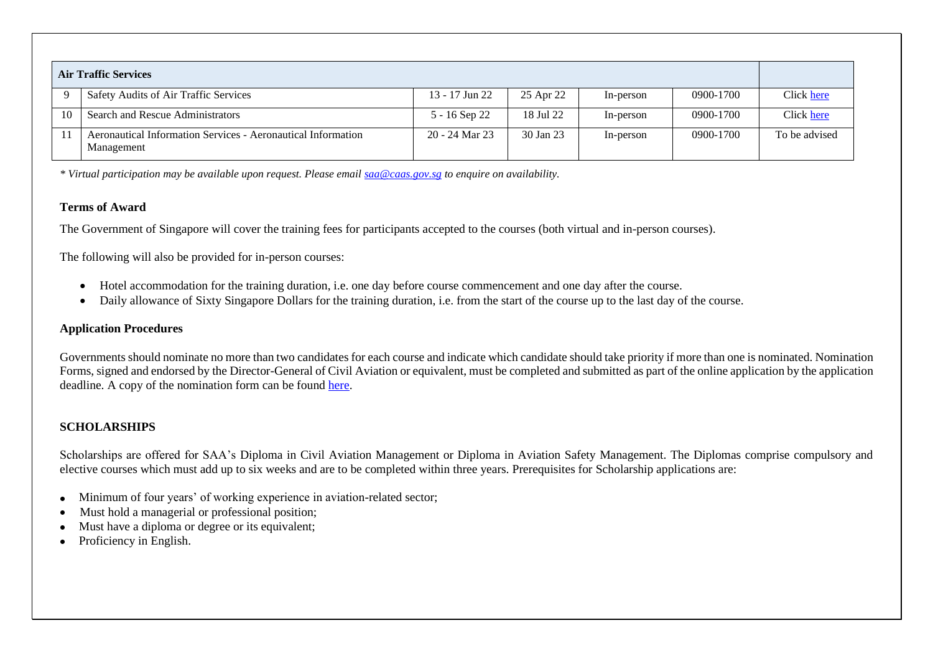| <b>Air Traffic Services</b> |                                                                            |                |           |           |           |               |  |
|-----------------------------|----------------------------------------------------------------------------|----------------|-----------|-----------|-----------|---------------|--|
|                             | Safety Audits of Air Traffic Services                                      | 13 - 17 Jun 22 | 25 Apr 22 | In-person | 0900-1700 | Click here    |  |
|                             | Search and Rescue Administrators                                           | 5 - 16 Sep 22  | 18 Jul 22 | In-person | 0900-1700 | Click here    |  |
|                             | Aeronautical Information Services - Aeronautical Information<br>Management | 20 - 24 Mar 23 | 30 Jan 23 | In-person | 0900-1700 | To be advised |  |

*\* Virtual participation may be available upon request. Please emai[l saa@caas.gov.sg](mailto:saa@caas.gov.sg) to enquire on availability.*

### **Terms of Award**

The Government of Singapore will cover the training fees for participants accepted to the courses (both virtual and in-person courses).

The following will also be provided for in-person courses:

- Hotel accommodation for the training duration, i.e. one day before course commencement and one day after the course.
- Daily allowance of Sixty Singapore Dollars for the training duration, i.e. from the start of the course up to the last day of the course.

### **Application Procedures**

Governments should nominate no more than two candidates for each course and indicate which candidate should take priority if more than one is nominated. Nomination Forms, signed and endorsed by the Director-General of Civil Aviation or equivalent, must be completed and submitted as part of the online application by the application deadline. A copy of the nomination form can be found [here.](https://www.caas.gov.sg/docs/default-source/pdf/nomination-form_with-pdpa_jan-2022.pdf)

## **SCHOLARSHIPS**

Scholarships are offered for SAA's Diploma in Civil Aviation Management or Diploma in Aviation Safety Management. The Diplomas comprise compulsory and elective courses which must add up to six weeks and are to be completed within three years. Prerequisites for Scholarship applications are:

- Minimum of four years' of working experience in aviation-related sector;
- Must hold a managerial or professional position;
- Must have a diploma or degree or its equivalent;
- Proficiency in English.